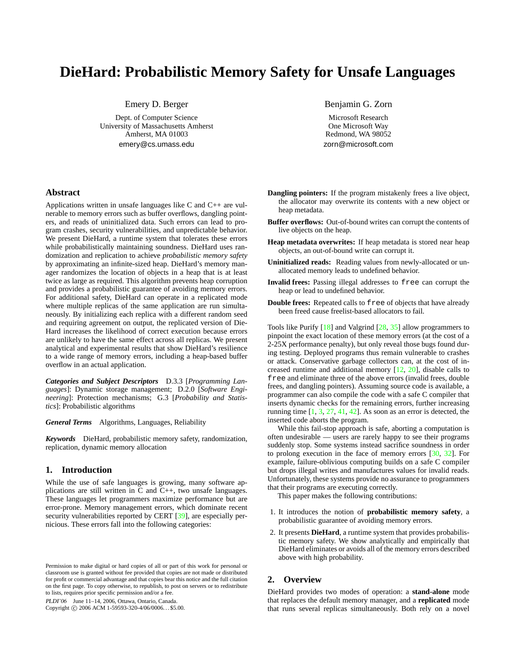# **DieHard: Probabilistic Memory Safety for Unsafe Languages**

Emery D. Berger

Dept. of Computer Science University of Massachusetts Amherst Amherst, MA 01003 emery@cs.umass.edu

## **Abstract**

Applications written in unsafe languages like C and C++ are vulnerable to memory errors such as buffer overflows, dangling pointers, and reads of uninitialized data. Such errors can lead to program crashes, security vulnerabilities, and unpredictable behavior. We present DieHard, a runtime system that tolerates these errors while probabilistically maintaining soundness. DieHard uses randomization and replication to achieve *probabilistic memory safety* by approximating an infinite-sized heap. DieHard's memory manager randomizes the location of objects in a heap that is at least twice as large as required. This algorithm prevents heap corruption and provides a probabilistic guarantee of avoiding memory errors. For additional safety, DieHard can operate in a replicated mode where multiple replicas of the same application are run simultaneously. By initializing each replica with a different random seed and requiring agreement on output, the replicated version of Die-Hard increases the likelihood of correct execution because errors are unlikely to have the same effect across all replicas. We present analytical and experimental results that show DieHard's resilience to a wide range of memory errors, including a heap-based buffer overflow in an actual application.

*Categories and Subject Descriptors* D.3.3 [*Programming Languages*]: Dynamic storage management; D.2.0 [*Software Engineering*]: Protection mechanisms; G.3 [*Probability and Statistics*]: Probabilistic algorithms

*General Terms* Algorithms, Languages, Reliability

*Keywords* DieHard, probabilistic memory safety, randomization, replication, dynamic memory allocation

## **1. Introduction**

While the use of safe languages is growing, many software applications are still written in C and C++, two unsafe languages. These languages let programmers maximize performance but are error-prone. Memory management errors, which dominate recent security vulnerabilities reported by CERT [\[39\]](#page-10-0), are especially pernicious. These errors fall into the following categories:

PLDI'06 June 11–14, 2006, Ottawa, Ontario, Canada.

Copyright © 2006 ACM 1-59593-320-4/06/0006... \$5.00.

Benjamin G. Zorn

Microsoft Research One Microsoft Way Redmond, WA 98052 zorn@microsoft.com

- **Dangling pointers:** If the program mistakenly frees a live object, the allocator may overwrite its contents with a new object or heap metadata.
- **Buffer overflows:** Out-of-bound writes can corrupt the contents of live objects on the heap.
- **Heap metadata overwrites:** If heap metadata is stored near heap objects, an out-of-bound write can corrupt it.
- **Uninitialized reads:** Reading values from newly-allocated or unallocated memory leads to undefined behavior.
- **Invalid frees:** Passing illegal addresses to free can corrupt the heap or lead to undefined behavior.
- **Double frees:** Repeated calls to free of objects that have already been freed cause freelist-based allocators to fail.

Tools like Purify [\[18\]](#page-9-0) and Valgrind [\[28,](#page-9-1) [35\]](#page-10-1) allow programmers to pinpoint the exact location of these memory errors (at the cost of a 2-25X performance penalty), but only reveal those bugs found during testing. Deployed programs thus remain vulnerable to crashes or attack. Conservative garbage collectors can, at the cost of increased runtime and additional memory [\[12,](#page-9-2) [20\]](#page-9-3), disable calls to free and eliminate three of the above errors (invalid frees, double frees, and dangling pointers). Assuming source code is available, a programmer can also compile the code with a safe C compiler that inserts dynamic checks for the remaining errors, further increasing running time  $[1, 3, 27, 41, 42]$  $[1, 3, 27, 41, 42]$  $[1, 3, 27, 41, 42]$  $[1, 3, 27, 41, 42]$  $[1, 3, 27, 41, 42]$  $[1, 3, 27, 41, 42]$  $[1, 3, 27, 41, 42]$  $[1, 3, 27, 41, 42]$  $[1, 3, 27, 41, 42]$ . As soon as an error is detected, the inserted code aborts the program.

While this fail-stop approach is safe, aborting a computation is often undesirable — users are rarely happy to see their programs suddenly stop. Some systems instead sacrifice soundness in order to prolong execution in the face of memory errors [\[30,](#page-10-4) [32\]](#page-10-5). For example, failure-oblivious computing builds on a safe C compiler but drops illegal writes and manufactures values for invalid reads. Unfortunately, these systems provide no assurance to programmers that their programs are executing correctly.

This paper makes the following contributions:

- 1. It introduces the notion of **probabilistic memory safety**, a probabilistic guarantee of avoiding memory errors.
- 2. It presents **DieHard**, a runtime system that provides probabilistic memory safety. We show analytically and empirically that DieHard eliminates or avoids all of the memory errors described above with high probability.

# **2. Overview**

DieHard provides two modes of operation: a **stand-alone** mode that replaces the default memory manager, and a **replicated** mode that runs several replicas simultaneously. Both rely on a novel

Permission to make digital or hard copies of all or part of this work for personal or classroom use is granted without fee provided that copies are not made or distributed for profit or commercial advantage and that copies bear this notice and the full citation on the first page. To copy otherwise, to republish, to post on servers or to redistribute to lists, requires prior specific permission and/or a fee.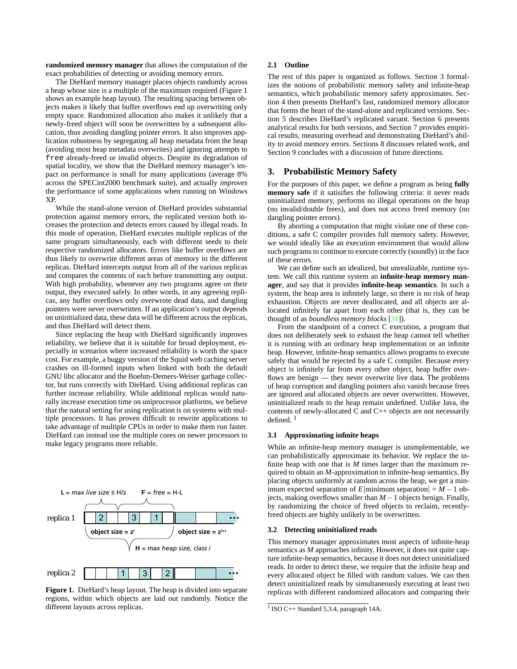**randomized memory manager** that allows the computation of the exact probabilities of detecting or avoiding memory errors.

The DieHard memory manager places objects randomly across a heap whose size is a multiple of the maximum required (Figure [1](#page-1-0) shows an example heap layout). The resulting spacing between objects makes it likely that buffer overflows end up overwriting only empty space. Randomized allocation also makes it unlikely that a newly-freed object will soon be overwritten by a subsequent allocation, thus avoiding dangling pointer errors. It also improves application robustness by segregating all heap metadata from the heap (avoiding most heap metadata overwrites) and ignoring attempts to free already-freed or invalid objects. Despite its degradation of spatial locality, we show that the DieHard memory manager's impact on performance is small for many applications (average 8% across the SPECint2000 benchmark suite), and actually *improves* the performance of some applications when running on Windows XP.

While the stand-alone version of DieHard provides substantial protection against memory errors, the replicated version both increases the protection and detects errors caused by illegal reads. In this mode of operation, DieHard executes multiple replicas of the same program simultaneously, each with different seeds to their respective randomized allocators. Errors like buffer overflows are thus likely to overwrite different areas of memory in the different replicas. DieHard intercepts output from all of the various replicas and compares the contents of each before transmitting any output. With high probability, whenever any two programs agree on their output, they executed safely. In other words, in any agreeing replicas, any buffer overflows only overwrote dead data, and dangling pointers were never overwritten. If an application's output depends on uninitialized data, these data will be different across the replicas, and thus DieHard will detect them.

Since replacing the heap with DieHard significantly improves reliability, we believe that it is suitable for broad deployment, especially in scenarios where increased reliability is worth the space cost. For example, a buggy version of the Squid web caching server crashes on ill-formed inputs when linked with both the default GNU libc allocator and the Boehm-Demers-Weiser garbage collector, but runs correctly with DieHard. Using additional replicas can further increase reliability. While additional replicas would naturally increase execution time on uniprocessor platforms, we believe that the natural setting for using replication is on systems with multiple processors. It has proven difficult to rewrite applications to take advantage of multiple CPUs in order to make them run faster. DieHard can instead use the multiple cores on newer processors to make legacy programs more reliable.



<span id="page-1-0"></span>**Figure 1.** DieHard's heap layout. The heap is divided into separate regions, within which objects are laid out randomly. Notice the different layouts across replicas.

# **2.1 Outline**

The rest of this paper is organized as follows. Section [3](#page-1-1) formalizes the notions of probabilistic memory safety and infinite-heap semantics, which probabilistic memory safety approximates. Section [4](#page-2-0) then presents DieHard's fast, randomized memory allocator that forms the heart of the stand-alone and replicated versions. Section [5](#page-3-0) describes DieHard's replicated variant. Section [6](#page-4-0) presents analytical results for both versions, and Section [7](#page-6-0) provides empirical results, measuring overhead and demonstrating DieHard's ability to avoid memory errors. Sections [8](#page-7-0) discusses related work, and Section [9](#page-8-0) concludes with a discussion of future directions.

# <span id="page-1-1"></span>**3. Probabilistic Memory Safety**

For the purposes of this paper, we define a program as being **fully memory safe** if it satisifies the following criteria: it never reads uninitialized memory, performs no illegal operations on the heap (no invalid/double frees), and does not access freed memory (no dangling pointer errors).

By aborting a computation that might violate one of these conditions, a safe C compiler provides full memory safety. However, we would ideally like an execution environment that would allow such programs to continue to execute correctly (soundly) in the face of these errors.

We can define such an idealized, but unrealizable, runtime system. We call this runtime system an **infinite-heap memory manager**, and say that it provides **infinite-heap semantics**. In such a system, the heap area is infinitely large, so there is no risk of heap exhaustion. Objects are never deallocated, and all objects are allocated infinitely far apart from each other (that is, they can be thought of as *boundless memory blocks* [\[31\]](#page-10-6)).

From the standpoint of a correct C execution, a program that does not deliberately seek to exhaust the heap cannot tell whether it is running with an ordinary heap implementation or an infinite heap. However, infinite-heap semantics allows programs to execute safely that would be rejected by a safe C compiler. Because every object is infinitely far from every other object, heap buffer overflows are benign — they never overwrite live data. The problems of heap corruption and dangling pointers also vanish because frees are ignored and allocated objects are never overwritten. However, uninitialized reads to the heap remain undefined. Unlike Java, the contents of newly-allocated C and C++ objects are not necessarily defined.  $1$ 

# **3.1 Approximating infinite heaps**

While an infinite-heap memory manager is unimplementable, we can probabilistically approximate its behavior. We replace the infinite heap with one that is *M* times larger than the maximum required to obtain an *M*-approximation to infinite-heap semantics. By placing objects uniformly at random across the heap, we get a minimum expected separation of *E*[minimum separation] =  $M - 1$  objects, making overflows smaller than *M* −1 objects benign. Finally, by randomizing the choice of freed objects to reclaim, recentlyfreed objects are highly unlikely to be overwritten.

## **3.2 Detecting uninitialized reads**

This memory manager approximates most aspects of infinite-heap semantics as *M* approaches infinity. However, it does not quite capture infinite-heap semantics, because it does not detect uninitialized reads. In order to detect these, we require that the infinite heap and every allocated object be filled with random values. We can then detect uninitialized reads by simultaneously executing at least two *replicas* with different randomized allocators and comparing their

<span id="page-1-2"></span><sup>1</sup> ISO C++ Standard 5.3.4, paragraph 14A.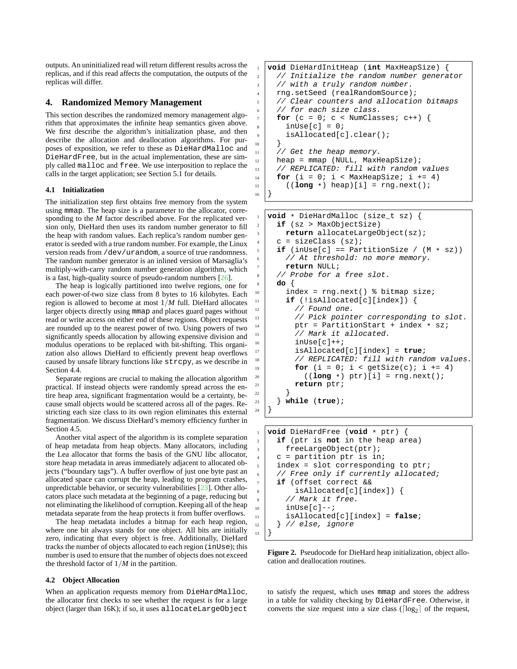outputs. An uninitialized read will return different results across the replicas, and if this read affects the computation, the outputs of the replicas will differ.

## <span id="page-2-0"></span>**4. Randomized Memory Management**

This section describes the randomized memory management algorithm that approximates the infinite heap semantics given above. We first describe the algorithm's initialization phase, and then describe the allocation and deallocation algorithms. For purposes of exposition, we refer to these as DieHardMalloc and DieHardFree, but in the actual implementation, these are simply called malloc and free. We use interposition to replace the calls in the target application; see Section [5.1](#page-4-1) for details.

## <span id="page-2-1"></span>**4.1 Initialization**

The initialization step first obtains free memory from the system using mmap. The heap size is a parameter to the allocator, corresponding to the *M* factor described above. For the replicated version only, DieHard then uses its random number generator to fill the heap with random values. Each replica's random number generator is seeded with a true random number. For example, the Linux version reads from /dev/urandom, a source of true randomness. The random number generator is an inlined version of Marsaglia's multiply-with-carry random number generation algorithm, which is a fast, high-quality source of pseudo-random numbers [\[26\]](#page-9-7).

The heap is logically partitioned into twelve regions, one for each power-of-two size class from 8 bytes to 16 kilobytes. Each region is allowed to become at most 1/*M* full. DieHard allocates larger objects directly using mmap and places guard pages without read or write access on either end of these regions. Object requests are rounded up to the nearest power of two. Using powers of two significantly speeds allocation by allowing expensive division and modulus operations to be replaced with bit-shifting. This organization also allows DieHard to efficiently prevent heap overflows caused by unsafe library functions like strcpy, as we describe in Section [4.4.](#page-3-1)

Separate regions are crucial to making the allocation algorithm practical. If instead objects were randomly spread across the entire heap area, significant fragmentation would be a certainty, because small objects would be scattered across all of the pages. Restricting each size class to its own region eliminates this external fragmentation. We discuss DieHard's memory efficiency further in Section [4.5.](#page-3-2)

Another vital aspect of the algorithm is its complete separation of heap metadata from heap objects. Many allocators, including the Lea allocator that forms the basis of the GNU libc allocator, store heap metadata in areas immediately adjacent to allocated objects ("boundary tags"). A buffer overflow of just one byte past an allocated space can corrupt the heap, leading to program crashes, unpredictable behavior, or security vulnerabilities [\[23\]](#page-9-8). Other allocators place such metadata at the beginning of a page, reducing but not eliminating the likelihood of corruption. Keeping all of the heap metadata separate from the heap protects it from buffer overflows.

The heap metadata includes a bitmap for each heap region, where one bit always stands for one object. All bits are initially zero, indicating that every object is free. Additionally, DieHard tracks the number of objects allocated to each region (inUse); this number is used to ensure that the number of objects does not exceed the threshold factor of 1/*M* in the partition.

## **4.2 Object Allocation**

When an application requests memory from DieHardMalloc, the allocator first checks to see whether the request is for a large object (larger than 16K); if so, it uses allocateLargeObject

```
1 void DieHardInitHeap (int MaxHeapSize) {
2 // Initialize the random number generator
3 // with a truly random number.
4 | rng.setSeed (realRandomSource);
5 // Clear counters and allocation bitmaps
    // for each size class.
7 \mid for (c = 0; c < NumClasses; c++) {
      invse[c] = 0;9 isAllocated[c].clear();
11 // Get the heap memory.
_{12} heap = mmap (NULL, MaxHeapSize);
13 // REPLICATED: fill with random values
_{14} for (i = 0; i < MaxHeapSize; i += 4)
15 ((long *) heap)[i] = rng.next();
```
<sup>10</sup> }

<sup>16</sup> }

<sup>24</sup> }

```
1 void * DieHardMalloc (size_t sz) {
2 if (sz > MaxObjectSize)
3 return allocateLargeObject(sz);
    c = sizeClass (sz);if (inUse[c] == PartitionSize / (M * sz))// At threshold: no more memory.
      7 return NULL;
     // Probe for a free slot.
    9 do {
_{10} index = rng.next() % bitmap size;
11 if (!isAllocated[c][index]) {
12 // Found one.
13 // Pick pointer corresponding to slot.
14 ptr = PartitionStart + index * sz;
15 // Mark it allocated.
_{16} inUse[c]++;
17 isAllocated[c][index] = true;
18 // REPLICATED: fill with random values
19 for (i = 0; i < \text{getSize}(c); i += 4)\begin{array}{c|c} \text{20} \\ \text{21} \end{array} ((long *) ptr)[i] = rng.next();
        return ptr;
22 }
23 } while (true);
```

```
1 void DieHardFree (void * ptr) {
    if (ptr is not in the heap area)
3 freeLargeObject(ptr);
4 \mid c = partition ptr is in;
    index = slot corresponding to <math>ptr</math>;// Free only if currently allocated;
7 if (offset correct &&
8 isAllocated[c][index]) {
9 // Mark it free.
_{10} | inUse[c]--;
11 isAllocated[c][index] = false;
12 } // else, ignore
13 \mid
```
**Figure 2.** Pseudocode for DieHard heap initialization, object allocation and deallocation routines.

to satisfy the request, which uses mmap and stores the address in a table for validity checking by DieHardFree. Otherwise, it converts the size request into a size class ( $\lceil \log_2 \rceil$  of the request,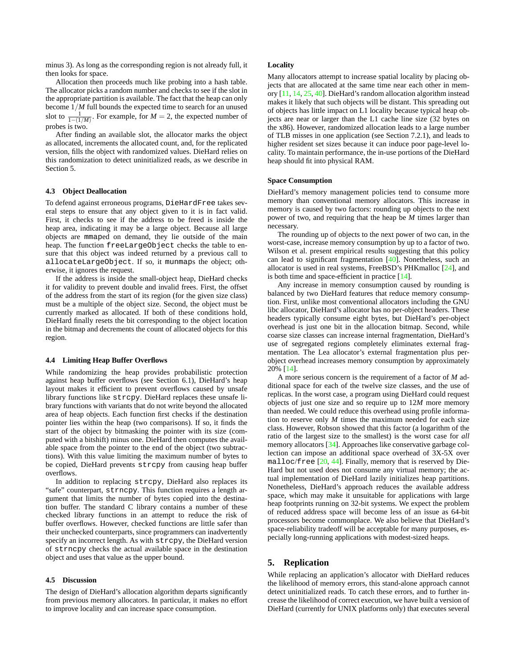minus 3). As long as the corresponding region is not already full, it then looks for space.

Allocation then proceeds much like probing into a hash table. The allocator picks a random number and checks to see if the slot in the appropriate partition is available. The fact that the heap can only become 1/*M* full bounds the expected time to search for an unused slot to  $\frac{1}{1-(1/M)}$ . For example, for  $M = 2$ , the expected number of probes is two.

After finding an available slot, the allocator marks the object as allocated, increments the allocated count, and, for the replicated version, fills the object with randomized values. DieHard relies on this randomization to detect uninitialized reads, as we describe in Section [5.](#page-3-0)

#### **4.3 Object Deallocation**

To defend against erroneous programs, DieHardFree takes several steps to ensure that any object given to it is in fact valid. First, it checks to see if the address to be freed is inside the heap area, indicating it may be a large object. Because all large objects are mmaped on demand, they lie outside of the main heap. The function freeLargeObject checks the table to ensure that this object was indeed returned by a previous call to allocateLargeObject. If so, it munmaps the object; otherwise, it ignores the request.

If the address is inside the small-object heap, DieHard checks it for validity to prevent double and invalid frees. First, the offset of the address from the start of its region (for the given size class) must be a multiple of the object size. Second, the object must be currently marked as allocated. If both of these conditions hold, DieHard finally resets the bit corresponding to the object location in the bitmap and decrements the count of allocated objects for this region.

#### <span id="page-3-1"></span>**4.4 Limiting Heap Buffer Overflows**

While randomizing the heap provides probabilistic protection against heap buffer overflows (see Section [6.1\)](#page-5-0), DieHard's heap layout makes it efficient to prevent overflows caused by unsafe library functions like strcpy. DieHard replaces these unsafe library functions with variants that do not write beyond the allocated area of heap objects. Each function first checks if the destination pointer lies within the heap (two comparisons). If so, it finds the start of the object by bitmasking the pointer with its size (computed with a bitshift) minus one. DieHard then computes the available space from the pointer to the end of the object (two subtractions). With this value limiting the maximum number of bytes to be copied, DieHard prevents strcpy from causing heap buffer overflows.

In addition to replacing strcpy, DieHard also replaces its "safe" counterpart, strncpy. This function requires a length argument that limits the number of bytes copied into the destination buffer. The standard C library contains a number of these checked library functions in an attempt to reduce the risk of buffer overflows. However, checked functions are little safer than their unchecked counterparts, since programmers can inadvertently specify an incorrect length. As with strcpy, the DieHard version of strncpy checks the actual available space in the destination object and uses that value as the upper bound.

## **4.5 Discussion**

The design of DieHard's allocation algorithm departs significantly from previous memory allocators. In particular, it makes no effort to improve locality and can increase space consumption.

## **Locality**

Many allocators attempt to increase spatial locality by placing objects that are allocated at the same time near each other in memory [\[11,](#page-9-9) [14,](#page-9-10) [25,](#page-9-11) [40\]](#page-10-7). DieHard's random allocation algorithm instead makes it likely that such objects will be distant. This spreading out of objects has little impact on L1 locality because typical heap objects are near or larger than the L1 cache line size (32 bytes on the x86). However, randomized allocation leads to a large number of TLB misses in one application (see Section [7.2.1\)](#page-6-1), and leads to higher resident set sizes because it can induce poor page-level locality. To maintain performance, the in-use portions of the DieHard heap should fit into physical RAM.

## **Space Consumption**

<span id="page-3-2"></span>DieHard's memory management policies tend to consume more memory than conventional memory allocators. This increase in memory is caused by two factors: rounding up objects to the next power of two, and requiring that the heap be *M* times larger than necessary.

The rounding up of objects to the next power of two can, in the worst-case, increase memory consumption by up to a factor of two. Wilson et al. present empirical results suggesting that this policy can lead to significant fragmentation [\[40\]](#page-10-7). Nonetheless, such an allocator is used in real systems, FreeBSD's PHKmalloc [\[24\]](#page-9-12), and is both time and space-efficient in practice [\[14\]](#page-9-10).

Any increase in memory consumption caused by rounding is balanced by two DieHard features that reduce memory consumption. First, unlike most conventional allocators including the GNU libc allocator, DieHard's allocator has no per-object headers. These headers typically consume eight bytes, but DieHard's per-object overhead is just one bit in the allocation bitmap. Second, while coarse size classes can increase internal fragmentation, DieHard's use of segregated regions completely eliminates external fragmentation. The Lea allocator's external fragmentation plus perobject overhead increases memory consumption by approximately 20% [\[14\]](#page-9-10).

A more serious concern is the requirement of a factor of *M* additional space for each of the twelve size classes, and the use of replicas. In the worst case, a program using DieHard could request objects of just one size and so require up to 12*M* more memory than needed. We could reduce this overhead using profile information to reserve only *M* times the maximum needed for each size class. However, Robson showed that this factor (a logarithm of the ratio of the largest size to the smallest) is the worst case for *all* memory allocators [\[34\]](#page-10-8). Approaches like conservative garbage collection can impose an additional space overhead of 3X-5X over malloc/free [\[20,](#page-9-3) [44\]](#page-10-9). Finally, memory that is reserved by Die-Hard but not used does not consume any virtual memory; the actual implementation of DieHard lazily initializes heap partitions. Nonetheless, DieHard's approach reduces the available address space, which may make it unsuitable for applications with large heap footprints running on 32-bit systems. We expect the problem of reduced address space will become less of an issue as 64-bit processors become commonplace. We also believe that DieHard's space-reliability tradeoff will be acceptable for many purposes, especially long-running applications with modest-sized heaps.

# <span id="page-3-0"></span>**5. Replication**

While replacing an application's allocator with DieHard reduces the likelihood of memory errors, this stand-alone approach cannot detect uninitialized reads. To catch these errors, and to further increase the likelihood of correct execution, we have built a version of DieHard (currently for UNIX platforms only) that executes several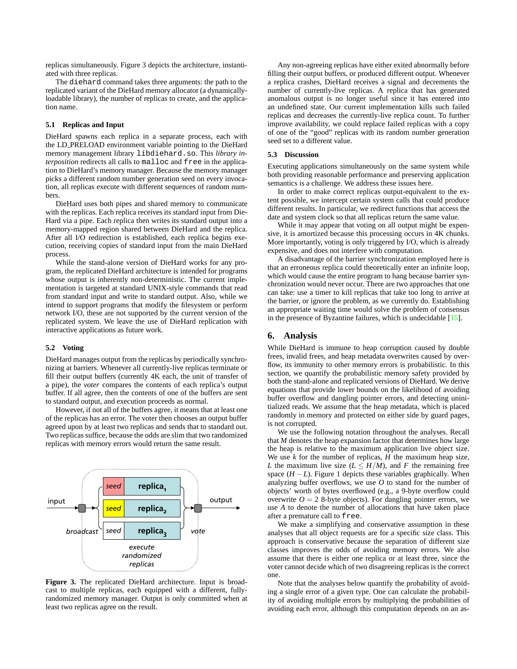replicas simultaneously. Figure [3](#page-4-2) depicts the architecture, instantiated with three replicas.

The diehard command takes three arguments: the path to the replicated variant of the DieHard memory allocator (a dynamicallyloadable library), the number of replicas to create, and the application name.

## <span id="page-4-1"></span>**5.1 Replicas and Input**

DieHard spawns each replica in a separate process, each with the LD PRELOAD environment variable pointing to the DieHard memory management library libdiehard.so. This *library interposition* redirects all calls to malloc and free in the application to DieHard's memory manager. Because the memory manager picks a different random number generation seed on every invocation, all replicas execute with different sequences of random numbers.

DieHard uses both pipes and shared memory to communicate with the replicas. Each replica receives its standard input from Die-Hard via a pipe. Each replica then writes its standard output into a memory-mapped region shared between DieHard and the replica. After all I/O redirection is established, each replica begins execution, receiving copies of standard input from the main DieHard process.

While the stand-alone version of DieHard works for any program, the replicated DieHard architecture is intended for programs whose output is inherently non-deterministic. The current implementation is targeted at standard UNIX-style commands that read from standard input and write to standard output. Also, while we intend to support programs that modify the filesystem or perform network I/O, these are not supported by the current version of the replicated system. We leave the use of DieHard replication with interactive applications as future work.

## **5.2 Voting**

DieHard manages output from the replicas by periodically synchronizing at barriers. Whenever all currently-live replicas terminate or fill their output buffers (currently 4K each, the unit of transfer of a pipe), the *voter* compares the contents of each replica's output buffer. If all agree, then the contents of one of the buffers are sent to standard output, and execution proceeds as normal.

However, if not all of the buffers agree, it means that at least one of the replicas has an error. The voter then chooses an output buffer agreed upon by at least two replicas and sends that to standard out. Two replicas suffice, because the odds are slim that two randomized replicas with memory errors would return the same result.



<span id="page-4-2"></span>**Figure 3.** The replicated DieHard architecture. Input is broadcast to multiple replicas, each equipped with a different, fullyrandomized memory manager. Output is only committed when at least two replicas agree on the result.

Any non-agreeing replicas have either exited abnormally before filling their output buffers, or produced different output. Whenever a replica crashes, DieHard receives a signal and decrements the number of currently-live replicas. A replica that has generated anomalous output is no longer useful since it has entered into an undefined state. Our current implementation kills such failed replicas and decreases the currently-live replica count. To further improve availability, we could replace failed replicas with a copy of one of the "good" replicas with its random number generation seed set to a different value.

## **5.3 Discussion**

Executing applications simultaneously on the same system while both providing reasonable performance and preserving application semantics is a challenge. We address these issues here.

In order to make correct replicas output-equivalent to the extent possible, we intercept certain system calls that could produce different results. In particular, we redirect functions that access the date and system clock so that all replicas return the same value.

While it may appear that voting on all output might be expensive, it is amortized because this processing occurs in 4K chunks. More importantly, voting is only triggered by I/O, which is already expensive, and does not interfere with computation.

A disadvantage of the barrier synchronization employed here is that an erroneous replica could theoretically enter an infinite loop, which would cause the entire program to hang because barrier synchronization would never occur. There are two approaches that one can take: use a timer to kill replicas that take too long to arrive at the barrier, or ignore the problem, as we currently do. Establishing an appropriate waiting time would solve the problem of consensus in the presence of Byzantine failures, which is undecidable [\[15\]](#page-9-13).

## <span id="page-4-0"></span>**6. Analysis**

While DieHard is immune to heap corruption caused by double frees, invalid frees, and heap metadata overwrites caused by overflow, its immunity to other memory errors is probabilistic. In this section, we quantify the probabilistic memory safety provided by both the stand-alone and replicated versions of DieHard. We derive equations that provide lower bounds on the likelihood of avoiding buffer overflow and dangling pointer errors, and detecting uninitialized reads. We assume that the heap metadata, which is placed randomly in memory and protected on either side by guard pages, is not corrupted.

We use the following notation throughout the analyses. Recall that *M* denotes the heap expansion factor that determines how large the heap is relative to the maximum application live object size. We use *k* for the number of replicas, *H* the maximum heap size, *L* the maximum live size  $(L \leq H/M)$ , and *F* the remaining free space  $(H - L)$ . Figure [1](#page-1-0) depicts these variables graphically. When analyzing buffer overflows, we use *O* to stand for the number of objects' worth of bytes overflowed (e.g., a 9-byte overflow could overwrite  $O = 2$  8-byte objects). For dangling pointer errors, we use *A* to denote the number of allocations that have taken place after a premature call to free.

We make a simplifying and conservative assumption in these analyses that all object requests are for a specific size class. This approach is conservative because the separation of different size classes improves the odds of avoiding memory errors. We also assume that there is either one replica or at least three, since the voter cannot decide which of two disagreeing replicas is the correct one.

Note that the analyses below quantify the probability of avoiding a single error of a given type. One can calculate the probability of avoiding multiple errors by multiplying the probabilities of avoiding each error, although this computation depends on an as-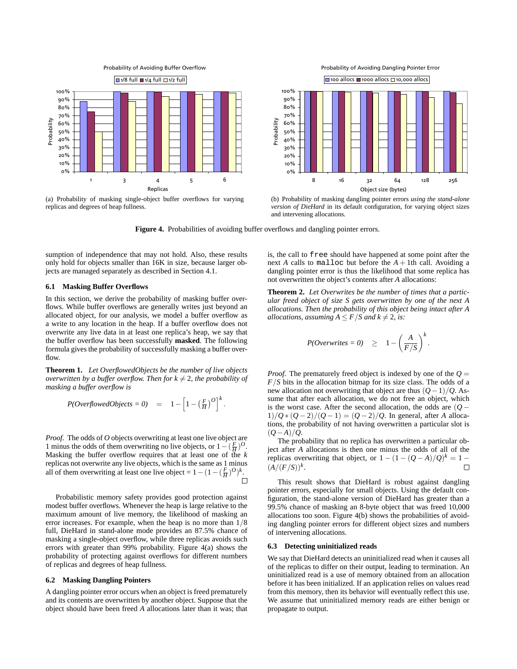<span id="page-5-1"></span>

(a) Probability of masking single-object buffer overflows for varying replicas and degrees of heap fullness.

Probability of Avoiding Dangling Pointer Error

□100 allocs ■1000 allocs □10,000 allocs



<span id="page-5-2"></span>(b) Probability of masking dangling pointer errors *using the stand-alone version of DieHard* in its default configuration, for varying object sizes and intervening allocations.

**Figure 4.** Probabilities of avoiding buffer overflows and dangling pointer errors.

sumption of independence that may not hold. Also, these results only hold for objects smaller than 16K in size, because larger objects are managed separately as described in Section [4.1.](#page-2-1)

## <span id="page-5-0"></span>**6.1 Masking Buffer Overflows**

In this section, we derive the probability of masking buffer overflows. While buffer overflows are generally writes just beyond an allocated object, for our analysis, we model a buffer overflow as a write to any location in the heap. If a buffer overflow does not overwrite any live data in at least one replica's heap, we say that the buffer overflow has been successfully **masked**. The following formula gives the probability of successfully masking a buffer overflow.

**Theorem 1.** *Let OverflowedObjects be the number of live objects overwritten by a buffer overflow. Then for*  $k \neq 2$ *, the probability of masking a buffer overflow is*

$$
P(Overflowed Objects = 0) = 1 - \left[1 - \left(\frac{F}{H}\right)^{0}\right]^{k}.
$$

*Proof.* The odds of *O* objects overwriting at least one live object are 1 minus the odds of them overwriting no live objects, or  $1 - \left(\frac{F}{H}\right)^0$ . Masking the buffer overflow requires that at least one of the *k* replicas not overwrite any live objects, which is the same as 1 minus all of them overwriting at least one live object =  $1 - (1 - (\frac{F}{H})^O)^k$ . П

Probabilistic memory safety provides good protection against modest buffer overflows. Whenever the heap is large relative to the maximum amount of live memory, the likelihood of masking an error increases. For example, when the heap is no more than 1/8 full, DieHard in stand-alone mode provides an 87.5% chance of masking a single-object overflow, while three replicas avoids such errors with greater than 99% probability. Figure [4\(a\)](#page-5-1) shows the probability of protecting against overflows for different numbers of replicas and degrees of heap fullness.

## **6.2 Masking Dangling Pointers**

A dangling pointer error occurs when an object is freed prematurely and its contents are overwritten by another object. Suppose that the object should have been freed *A* allocations later than it was; that is, the call to free should have happened at some point after the next *A* calls to malloc but before the  $A + 1$ th call. Avoiding a dangling pointer error is thus the likelihood that some replica has not overwritten the object's contents after *A* allocations:

**Theorem 2.** *Let Overwrites be the number of times that a particular freed object of size S gets overwritten by one of the next A allocations. Then the probability of this object being intact after A allocations, assuming*  $A \leq F/S$  *and*  $k \neq 2$ *, is:* 

$$
P(Overwrites = 0) \geq 1 - \left(\frac{A}{F/S}\right)^k.
$$

*Proof.* The prematurely freed object is indexed by one of the *Q* = *F*/*S* bits in the allocation bitmap for its size class. The odds of a new allocation not overwriting that object are thus (*Q*−1)/*Q*. Assume that after each allocation, we do not free an object, which is the worst case. After the second allocation, the odds are  $(Q -$ 1)/ $Q$  ∗ ( $Q - 2$ )/( $Q - 1$ ) = ( $Q - 2$ )/ $Q$ . In general, after *A* allocations, the probability of not having overwritten a particular slot is (*Q*−*A*)/*Q*.

The probability that no replica has overwritten a particular object after *A* allocations is then one minus the odds of all of the replicas overwriting that object, or  $1 - (1 - (Q - A)/Q)^k = 1 (A/(F/S))^k$ .  $\Box$ 

This result shows that DieHard is robust against dangling pointer errors, especially for small objects. Using the default configuration, the stand-alone version of DieHard has greater than a 99.5% chance of masking an 8-byte object that was freed 10,000 allocations too soon. Figure [4\(b\)](#page-5-2) shows the probabilities of avoiding dangling pointer errors for different object sizes and numbers of intervening allocations.

#### **6.3 Detecting uninitialized reads**

We say that DieHard detects an uninitialized read when it causes all of the replicas to differ on their output, leading to termination. An uninitialized read is a use of memory obtained from an allocation before it has been initialized. If an application relies on values read from this memory, then its behavior will eventually reflect this use. We assume that uninitialized memory reads are either benign or propagate to output.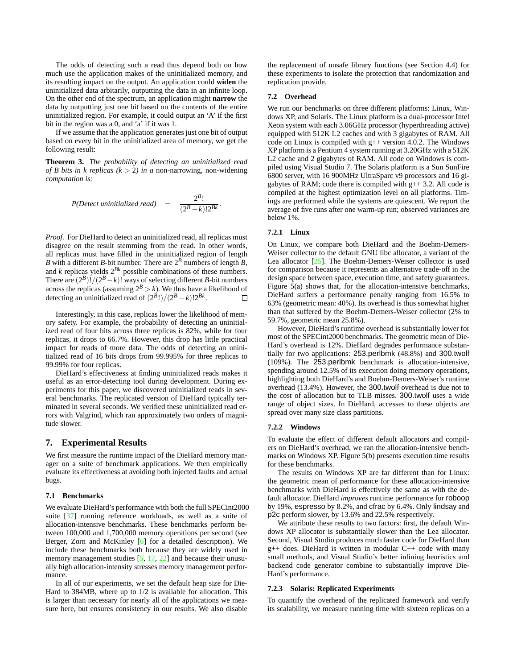The odds of detecting such a read thus depend both on how much use the application makes of the uninitialized memory, and its resulting impact on the output. An application could **widen** the uninitialized data arbitarily, outputting the data in an infinite loop. On the other end of the spectrum, an application might **narrow** the data by outputting just one bit based on the contents of the entire uninitialized region. For example, it could output an 'A' if the first bit in the region was a 0, and 'a' if it was 1.

If we assume that the application generates just one bit of output based on every bit in the uninitialized area of memory, we get the following result:

**Theorem 3.** *The probability of detecting an uninitialized read of B bits in k replicas*  $(k > 2)$  *in a* non-narrowing, non-widening *computation is:*

$$
P(Detect\text{ }uninitialized\text{ }read) = \frac{2^B!}{(2^B - k)! 2^{Bk}}.
$$

*Proof.* For DieHard to detect an uninitialized read, all replicas must disagree on the result stemming from the read. In other words, all replicas must have filled in the uninitialized region of length *B* with a different *B*-bit number. There are  $2^B$  numbers of length *B*, and  $k$  replicas yields  $2^{Bk}$  possible combinations of these numbers. There are  $(2^B)!/(2^B-k)!$  ways of selecting different *B*-bit numbers across the replicas (assuming  $2^B > k$ ). We thus have a likelihood of detecting an uninitialized read of  $(2^B!)/(2^B - k)!2^{Bk}$ .

Interestingly, in this case, replicas lower the likelihood of memory safety. For example, the probability of detecting an uninitialized read of four bits across three replicas is 82%, while for four replicas, it drops to 66.7%. However, this drop has little practical impact for reads of more data. The odds of detecting an uninitialized read of 16 bits drops from 99.995% for three replicas to 99.99% for four replicas.

DieHard's effectiveness at finding uninitialized reads makes it useful as an error-detecting tool during development. During experiments for this paper, we discovered uninitialized reads in several benchmarks. The replicated version of DieHard typically terminated in several seconds. We verified these uninitialized read errors with Valgrind, which ran approximately two orders of magnitude slower.

## <span id="page-6-0"></span>**7. Experimental Results**

We first measure the runtime impact of the DieHard memory manager on a suite of benchmark applications. We then empirically evaluate its effectiveness at avoiding both injected faults and actual bugs.

#### **7.1 Benchmarks**

We evaluate DieHard's performance with both the full SPECint2000 suite [\[37\]](#page-10-10) running reference workloads, as well as a suite of allocation-intensive benchmarks. These benchmarks perform between 100,000 and 1,700,000 memory operations per second (see Berger, Zorn and McKinley [\[6\]](#page-9-14) for a detailed description). We include these benchmarks both because they are widely used in memory management studies [\[5,](#page-9-15) [17,](#page-9-16) [22\]](#page-9-17) and because their unusually high allocation-intensity stresses memory management performance.

In all of our experiments, we set the default heap size for Die-Hard to 384MB, where up to 1/2 is available for allocation. This is larger than necessary for nearly all of the applications we measure here, but ensures consistency in our results. We also disable the replacement of unsafe library functions (see Section [4.4\)](#page-3-1) for these experiments to isolate the protection that randomization and replication provide.

# **7.2 Overhead**

We run our benchmarks on three different platforms: Linux, Windows XP, and Solaris. The Linux platform is a dual-processor Intel Xeon system with each 3.06GHz processor (hyperthreading active) equipped with 512K L2 caches and with 3 gigabytes of RAM. All code on Linux is compiled with  $g++$  version 4.0.2. The Windows XP platform is a Pentium 4 system running at 3.20GHz with a 512K L2 cache and 2 gigabytes of RAM. All code on Windows is compiled using Visual Studio 7. The Solaris platform is a Sun SunFire 6800 server, with 16 900MHz UltraSparc v9 processors and 16 gigabytes of RAM; code there is compiled with  $g++3.2$ . All code is compiled at the highest optimization level on all platforms. Timings are performed while the systems are quiescent. We report the average of five runs after one warm-up run; observed variances are below 1%.

## <span id="page-6-1"></span>**7.2.1 Linux**

On Linux, we compare both DieHard and the Boehm-Demers-Weiser collector to the default GNU libc allocator, a variant of the Lea allocator [\[25\]](#page-9-11). The Boehm-Demers-Weiser collector is used for comparison because it represents an alternative trade-off in the design space between space, execution time, and safety guarantees. Figure [5\(a\)](#page-7-1) shows that, for the allocation-intensive benchmarks, DieHard suffers a performance penalty ranging from 16.5% to 63% (geometric mean: 40%). Its overhead is thus somewhat higher than that suffered by the Boehm-Demers-Weiser collector (2% to 59.7%, geometric mean 25.8%).

However, DieHard's runtime overhead is substantially lower for most of the SPECint2000 benchmarks. The geometric mean of Die-Hard's overhead is 12%. DieHard degrades performance substantially for two applications: 253.perlbmk (48.8%) and 300.twolf (109%). The 253.perlbmk benchmark is allocation-intensive, spending around 12.5% of its execution doing memory operations, highlighting both DieHard's and Boehm-Demers-Weiser's runtime overhead (13.4%). However, the 300.twolf overhead is due not to the cost of allocation but to TLB misses. 300.twolf uses a wide range of object sizes. In DieHard, accesses to these objects are spread over many size class partitions.

#### **7.2.2 Windows**

To evaluate the effect of different default allocators and compilers on DieHard's overhead, we ran the allocation-intensive benchmarks on Windows XP. Figure [5\(b\)](#page-7-2) presents execution time results for these benchmarks.

The results on Windows XP are far different than for Linux: the geometric mean of performance for these allocation-intensive benchmarks with DieHard is effectively the same as with the default allocator. DieHard *improves* runtime performance for roboop by 19%, espresso by 8.2%, and cfrac by 6.4%. Only lindsay and p2c perform slower, by 13.6% and 22.5% respectively.

We attribute these results to two factors: first, the default Windows XP allocator is substantially slower than the Lea allocator. Second, Visual Studio produces much faster code for DieHard than g++ does. DieHard is written in modular C++ code with many small methods, and Visual Studio's better inlining heuristics and backend code generator combine to substantially improve Die-Hard's performance.

#### **7.2.3 Solaris: Replicated Experiments**

To quantify the overhead of the replicated framework and verify its scalability, we measure running time with sixteen replicas on a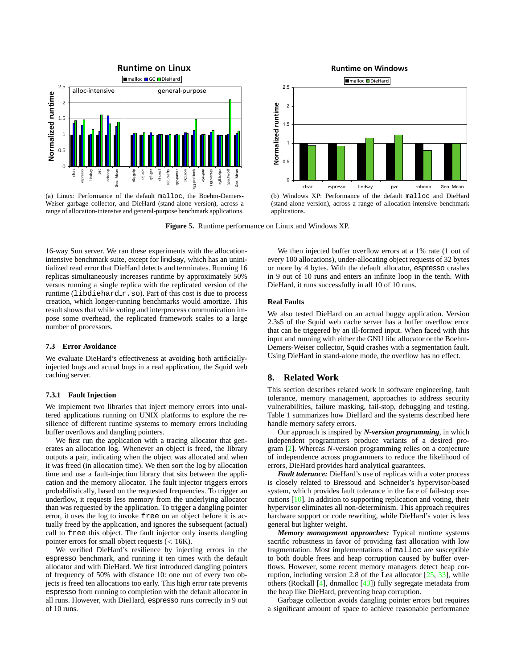<span id="page-7-1"></span>

(a) Linux: Performance of the default malloc, the Boehm-Demers-Weiser garbage collector, and DieHard (stand-alone version), across a range of allocation-intensive and general-purpose benchmark applications.

**Figure 5.** Runtime performance on Linux and Windows XP.

16-way Sun server. We ran these experiments with the allocationintensive benchmark suite, except for lindsay, which has an uninitialized read error that DieHard detects and terminates. Running 16 replicas simultaneously increases runtime by approximately 50% versus running a single replica with the replicated version of the runtime (libdiehard  $r$ .so). Part of this cost is due to process creation, which longer-running benchmarks would amortize. This result shows that while voting and interprocess communication impose some overhead, the replicated framework scales to a large number of processors.

#### **7.3 Error Avoidance**

We evaluate DieHard's effectiveness at avoiding both artificiallyinjected bugs and actual bugs in a real application, the Squid web caching server.

## **7.3.1 Fault Injection**

We implement two libraries that inject memory errors into unaltered applications running on UNIX platforms to explore the resilience of different runtime systems to memory errors including buffer overflows and dangling pointers.

We first run the application with a tracing allocator that generates an allocation log. Whenever an object is freed, the library outputs a pair, indicating when the object was allocated and when it was freed (in allocation time). We then sort the log by allocation time and use a fault-injection library that sits between the application and the memory allocator. The fault injector triggers errors probabilistically, based on the requested frequencies. To trigger an underflow, it requests less memory from the underlying allocator than was requested by the application. To trigger a dangling pointer error, it uses the log to invoke free on an object before it is actually freed by the application, and ignores the subsequent (actual) call to free this object. The fault injector only inserts dangling pointer errors for small object requests (< 16K).

We verified DieHard's resilience by injecting errors in the espresso benchmark, and running it ten times with the default allocator and with DieHard. We first introduced dangling pointers of frequency of 50% with distance 10: one out of every two objects is freed ten allocations too early. This high error rate prevents espresso from running to completion with the default allocator in all runs. However, with DieHard, espresso runs correctly in 9 out of 10 runs.

#### **Runtime on Windows**



<span id="page-7-2"></span>(b) Windows XP: Performance of the default malloc and DieHard (stand-alone version), across a range of allocation-intensive benchmark applications.

We then injected buffer overflow errors at a 1% rate (1 out of every 100 allocations), under-allocating object requests of 32 bytes or more by 4 bytes. With the default allocator, espresso crashes in 9 out of 10 runs and enters an infinite loop in the tenth. With DieHard, it runs successfully in all 10 of 10 runs.

#### **Real Faults**

We also tested DieHard on an actual buggy application. Version 2.3s5 of the Squid web cache server has a buffer overflow error that can be triggered by an ill-formed input. When faced with this input and running with either the GNU libc allocator or the Boehm-Demers-Weiser collector, Squid crashes with a segmentation fault. Using DieHard in stand-alone mode, the overflow has no effect.

## <span id="page-7-0"></span>**8. Related Work**

This section describes related work in software engineering, fault tolerance, memory management, approaches to address security vulnerabilities, failure masking, fail-stop, debugging and testing. Table [1](#page-8-1) summarizes how DieHard and the systems described here handle memory safety errors.

Our approach is inspired by *N-version programming*, in which independent programmers produce variants of a desired program [\[2\]](#page-9-18). Whereas *N*-version programming relies on a conjecture of independence across programmers to reduce the likelihood of errors, DieHard provides hard analytical guarantees.

*Fault tolerance:* DieHard's use of replicas with a voter process is closely related to Bressoud and Schneider's hypervisor-based system, which provides fault tolerance in the face of fail-stop executions [\[10\]](#page-9-19). In addition to supporting replication and voting, their hypervisor eliminates all non-determinism. This approach requires hardware support or code rewriting, while DieHard's voter is less general but lighter weight.

*Memory management approaches:* Typical runtime systems sacrific robustness in favor of providing fast allocation with low fragmentation. Most implementations of malloc are susceptible to both double frees and heap corruption caused by buffer overflows. However, some recent memory managers detect heap corruption, including version 2.8 of the Lea allocator [\[25,](#page-9-11) [33\]](#page-10-11), while others (Rockall [\[4\]](#page-9-20), dnmalloc [\[43\]](#page-10-12)) fully segregate metadata from the heap like DieHard, preventing heap corruption.

Garbage collection avoids dangling pointer errors but requires a significant amount of space to achieve reasonable performance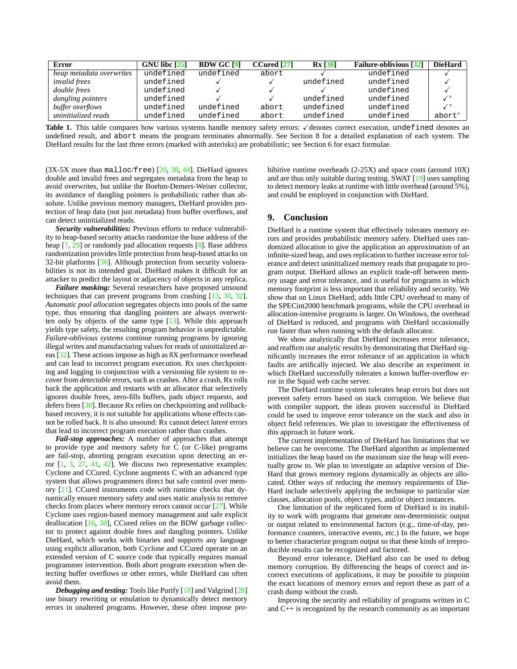| Error                    | $GNU$ libe $[25]$ | <b>BDW GC [9]</b> | $C$ Cured $[27]$ | $Rx$ [30] | <b>Failure-oblivious</b> [32] | <b>DieHard</b> |
|--------------------------|-------------------|-------------------|------------------|-----------|-------------------------------|----------------|
| heap metadata overwrites | undefined         | undefined         | abort            |           | undefined                     |                |
| <i>invalid frees</i>     | undefined         |                   |                  | undefined | undefined                     |                |
| <i>double frees</i>      | undefined         |                   |                  |           | undefined                     |                |
| dangling pointers        | undefined         |                   |                  | undefined | undefined                     |                |
| buffer overflows         | undefined         | undefined         | abort            | undefined | undefined                     |                |
| uninitialized reads      | undefined         | undefined         | abort            | undefined | undefined                     | abort*         |

<span id="page-8-1"></span>Table 1. This table compares how various systems handle memory safety errors:  $\checkmark$  denotes correct execution, undefined denotes an undefined result, and abort means the program terminates abnormally. See Section [8](#page-7-0) for a detailed explanation of each system. The DieHard results for the last three errors (marked with asterisks) are probabilistic; see Section [6](#page-4-0) for exact formulae.

(3X-5X more than malloc/free) [\[20,](#page-9-3) [38,](#page-10-13) [44\]](#page-10-9). DieHard ignores double and invalid frees and segregates metadata from the heap to avoid overwrites, but unlike the Boehm-Demers-Weiser collector, its avoidance of dangling pointers is probabilistic rather than absolute. Unlike previous memory managers, DieHard provides protection of heap data (not just metadata) from buffer overflows, and can detect uninitialized reads.

*Security vulnerabilities:* Previous efforts to reduce vulnerability to heap-based security attacks randomize the base address of the heap [\[7,](#page-9-22) [29\]](#page-9-23) or randomly pad allocation requests [\[8\]](#page-9-24). Base address randomization provides little protection from heap-based attacks on 32-bit platforms [\[36\]](#page-10-14). Although protection from security vulnerabilities is not its intended goal, DieHard makes it difficult for an attacker to predict the layout or adjacency of objects in any replica.

*Failure masking:* Several researchers have proposed unsound techniques that can prevent programs from crashing [\[13,](#page-9-25) [30,](#page-10-4) [32\]](#page-10-5). *Automatic pool allocation* segregates objects into pools of the same type, thus ensuring that dangling pointers are always overwritten only by objects of the same type [\[13\]](#page-9-25). While this approach yields type safety, the resulting program behavior is unpredictable. *Failure-oblivious systems* continue running programs by ignoring illegal writes and manufacturing values for reads of uninitialized areas [\[32\]](#page-10-5). These actions impose as high as 8X performance overhead and can lead to incorrect program execution. Rx uses checkpointing and logging in conjunction with a versioning file system to recover from *detectable* errors, such as crashes. After a crash, Rx rolls back the application and restarts with an allocator that selectively ignores double frees, zero-fills buffers, pads object requests, and defers frees [\[30\]](#page-10-4). Because Rx relies on checkpointing and rollbackbased recovery, it is not suitable for applications whose effects cannot be rolled back. It is also unsound: Rx cannot detect *latent* errors that lead to incorrect program execution rather than crashes.

*Fail-stop approaches:* A number of approaches that attempt to provide type and memory safety for C (or C-like) programs are fail-stop, aborting program execution upon detecting an error [\[1,](#page-9-4) [3,](#page-9-5) [27,](#page-9-6) [41,](#page-10-2) [42\]](#page-10-3). We discuss two representative examples: Cyclone and CCured. Cyclone augments C with an advanced type system that allows programmers direct but safe control over memory [\[21\]](#page-9-26). CCured instruments code with runtime checks that dynamically ensure memory safety and uses static analysis to remove checks from places where memory errors cannot occur [\[27\]](#page-9-6). While Cyclone uses region-based memory management and safe explicit deallocation [\[16,](#page-9-27) [38\]](#page-10-13), CCured relies on the BDW garbage collector to protect against double frees and dangling pointers. Unlike DieHard, which works with binaries and supports any language using explicit allocation, both Cyclone and CCured operate on an extended version of C source code that typically requires manual programmer intervention. Both abort program execution when detecting buffer overflows or other errors, while DieHard can often avoid them.

*Debugging and testing:* Tools like Purify [\[18\]](#page-9-0) and Valgrind [\[28\]](#page-9-1) use binary rewriting or emulation to dynamically detect memory errors in unaltered programs. However, these often impose prohibitive runtime overheads (2-25X) and space costs (around  $10X$ ) and are thus only suitable during testing. SWAT [\[19\]](#page-9-28) uses sampling to detect memory leaks at runtime with little overhead (around 5%), and could be employed in conjunction with DieHard.

# <span id="page-8-0"></span>**9. Conclusion**

DieHard is a runtime system that effectively tolerates memory errors and provides probabilistic memory safety. DieHard uses randomized allocation to give the application an approximation of an infinite-sized heap, and uses replication to further increase error tolerance and detect uninitialized memory reads that propagate to program output. DieHard allows an explicit trade-off between memory usage and error tolerance, and is useful for programs in which memory footprint is less important that reliability and security. We show that on Linux DieHard, adds little CPU overhead to many of the SPECint2000 benchmark programs, while the CPU overhead in allocation-intensive programs is larger. On Windows, the overhead of DieHard is reduced, and programs with DieHard occasionally run faster than when running with the default allocator.

We show analytically that DieHard increases error tolerance, and reaffirm our analytic results by demonstrating that DieHard significantly increases the error tolerance of an application in which faults are artifically injected. We also describe an experiment in which DieHard successfully tolerates a known buffer-overflow error in the Squid web cache server.

The DieHard runtime system tolerates heap errors but does not prevent safety errors based on stack corruption. We believe that with compiler support, the ideas proven successful in DieHard could be used to improve error tolerance on the stack and also in object field references. We plan to investigate the effectiveness of this approach in future work.

The current implementation of DieHard has limitations that we believe can be overcome. The DieHard algorithm as implemented initializes the heap based on the maximum size the heap will eventually grow to. We plan to investigate an adaptive version of Die-Hard that grows memory regions dynamically as objects are allocated. Other ways of reducing the memory requirements of Die-Hard include selectively applying the technique to particular size classes, allocation pools, object types, and/or object instances.

One limitation of the replicated form of DieHard is its inability to work with programs that generate non-deterministic output or output related to environmental factors (e.g., time-of-day, performance counters, interactive events, etc.) In the future, we hope to better characterize program output so that these kinds of irreproducible results can be recognized and factored.

Beyond error tolerance, DieHard also can be used to debug memory corruption. By differencing the heaps of correct and incorrect executions of applications, it may be possible to pinpoint the exact locations of memory errors and report these as part of a crash dump without the crash.

Improving the security and reliability of programs written in C and  $C_{++}$  is recognized by the research community as an important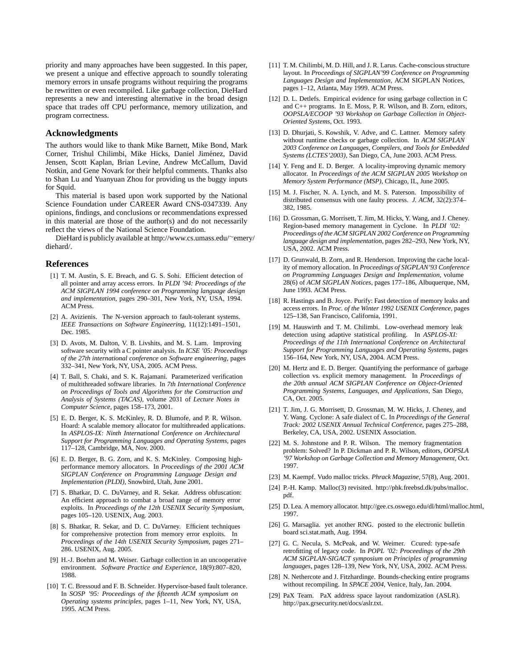priority and many approaches have been suggested. In this paper, we present a unique and effective approach to soundly tolerating memory errors in unsafe programs without requiring the programs be rewritten or even recompiled. Like garbage collection, DieHard represents a new and interesting alternative in the broad design space that trades off CPU performance, memory utilization, and program correctness.

## **Acknowledgments**

The authors would like to thank Mike Barnett, Mike Bond, Mark Corner, Trishul Chilimbi, Mike Hicks, Daniel Jiménez, David Jensen, Scott Kaplan, Brian Levine, Andrew McCallum, David Notkin, and Gene Novark for their helpful comments. Thanks also to Shan Lu and Yuanyuan Zhou for providing us the buggy inputs for Squid.

This material is based upon work supported by the National Science Foundation under CAREER Award CNS-0347339. Any opinions, findings, and conclusions or recommendations expressed in this material are those of the author(s) and do not necessarily reflect the views of the National Science Foundation.

DieHard is publicly available at [http://www.cs.umass.edu/](http://www.cs.umass.edu/~emery/diehard/)∼emery/ [diehard/.](http://www.cs.umass.edu/~emery/diehard/)

## **References**

- <span id="page-9-4"></span>[1] T. M. Austin, S. E. Breach, and G. S. Sohi. Efficient detection of all pointer and array access errors. In *PLDI '94: Proceedings of the ACM SIGPLAN 1994 conference on Programming language design and implementation*, pages 290–301, New York, NY, USA, 1994. ACM Press.
- <span id="page-9-18"></span>[2] A. Avizienis. The N-version approach to fault-tolerant systems. *IEEE Transactions on Software Engineering*, 11(12):1491–1501, Dec. 1985.
- <span id="page-9-5"></span>[3] D. Avots, M. Dalton, V. B. Livshits, and M. S. Lam. Improving software security with a C pointer analysis. In *ICSE '05: Proceedings of the 27th international conference on Software engineering*, pages 332–341, New York, NY, USA, 2005. ACM Press.
- <span id="page-9-20"></span>[4] T. Ball, S. Chaki, and S. K. Rajamani. Parameterized verification of multithreaded software libraries. In *7th International Conference on Proceedings of Tools and Algorithms for the Construction and Analysis of Systems (TACAS)*, volume 2031 of *Lecture Notes in Computer Science*, pages 158–173, 2001.
- <span id="page-9-15"></span>[5] E. D. Berger, K. S. McKinley, R. D. Blumofe, and P. R. Wilson. Hoard: A scalable memory allocator for multithreaded applications. In *ASPLOS-IX: Ninth International Conference on Architectural Support for Programming Languages and Operating Systems*, pages 117–128, Cambridge, MA, Nov. 2000.
- <span id="page-9-14"></span>[6] E. D. Berger, B. G. Zorn, and K. S. McKinley. Composing highperformance memory allocators. In *Proceedings of the 2001 ACM SIGPLAN Conference on Programming Language Design and Implementation (PLDI)*, Snowbird, Utah, June 2001.
- <span id="page-9-22"></span>[7] S. Bhatkar, D. C. DuVarney, and R. Sekar. Address obfuscation: An efficient approach to combat a broad range of memory error exploits. In *Proceedings of the 12th USENIX Security Symposium*, pages 105–120. USENIX, Aug. 2003.
- <span id="page-9-24"></span>[8] S. Bhatkar, R. Sekar, and D. C. DuVarney. Efficient techniques for comprehensive protection from memory error exploits. In *Proceedings of the 14th USENIX Security Symposium*, pages 271– 286. USENIX, Aug. 2005.
- <span id="page-9-21"></span>[9] H.-J. Boehm and M. Weiser. Garbage collection in an uncooperative environment. *Software Practice and Experience*, 18(9):807–820, 1988.
- <span id="page-9-19"></span>[10] T. C. Bressoud and F. B. Schneider. Hypervisor-based fault tolerance. In *SOSP '95: Proceedings of the fifteenth ACM symposium on Operating systems principles*, pages 1–11, New York, NY, USA, 1995. ACM Press.
- <span id="page-9-9"></span>[11] T. M. Chilimbi, M. D. Hill, and J. R. Larus. Cache-conscious structure layout. In *Proceedings of SIGPLAN'99 Conference on Programming Languages Design and Implementation*, ACM SIGPLAN Notices, pages 1–12, Atlanta, May 1999. ACM Press.
- <span id="page-9-2"></span>[12] D. L. Detlefs. Empirical evidence for using garbage collection in C and C++ programs. In E. Moss, P. R. Wilson, and B. Zorn, editors, *OOPSLA/ECOOP '93 Workshop on Garbage Collection in Object-Oriented Systems*, Oct. 1993.
- <span id="page-9-25"></span>[13] D. Dhurjati, S. Kowshik, V. Adve, and C. Lattner. Memory safety without runtime checks or garbage collection. In *ACM SIGPLAN 2003 Conference on Languages, Compilers, and Tools for Embedded Systems (LCTES'2003)*, San Diego, CA, June 2003. ACM Press.
- <span id="page-9-10"></span>[14] Y. Feng and E. D. Berger. A locality-improving dynamic memory allocator. In *Proceedings of the ACM SIGPLAN 2005 Workshop on Memory System Performance (MSP)*, Chicago, IL, June 2005.
- <span id="page-9-13"></span>[15] M. J. Fischer, N. A. Lynch, and M. S. Paterson. Impossibility of distributed consensus with one faulty process. *J. ACM*, 32(2):374– 382, 1985.
- <span id="page-9-27"></span>[16] D. Grossman, G. Morrisett, T. Jim, M. Hicks, Y. Wang, and J. Cheney. Region-based memory management in Cyclone. In *PLDI '02: Proceedings of the ACM SIGPLAN 2002 Conference on Programming language design and implementation*, pages 282–293, New York, NY, USA, 2002. ACM Press.
- <span id="page-9-16"></span>[17] D. Grunwald, B. Zorn, and R. Henderson. Improving the cache locality of memory allocation. In *Proceedings of SIGPLAN'93 Conference on Programming Languages Design and Implementation*, volume 28(6) of *ACM SIGPLAN Notices*, pages 177–186, Albuquerque, NM, June 1993. ACM Press.
- <span id="page-9-0"></span>[18] R. Hastings and B. Joyce. Purify: Fast detection of memory leaks and access errors. In *Proc. of the Winter 1992 USENIX Conference*, pages 125–138, San Francisco, California, 1991.
- <span id="page-9-28"></span>[19] M. Hauswirth and T. M. Chilimbi. Low-overhead memory leak detection using adaptive statistical profiling. In *ASPLOS-XI: Proceedings of the 11th International Conference on Architectural Support for Programming Languages and Operating Systems*, pages 156–164, New York, NY, USA, 2004. ACM Press.
- <span id="page-9-3"></span>[20] M. Hertz and E. D. Berger. Quantifying the performance of garbage collection vs. explicit memory management. In *Proceedings of the 20th annual ACM SIGPLAN Conference on Object-Oriented Programming Systems, Languages, and Applications*, San Diego, CA, Oct. 2005.
- <span id="page-9-26"></span>[21] T. Jim, J. G. Morrisett, D. Grossman, M. W. Hicks, J. Cheney, and Y. Wang. Cyclone: A safe dialect of C. In *Proceedings of the General Track: 2002 USENIX Annual Technical Conference*, pages 275–288, Berkeley, CA, USA, 2002. USENIX Association.
- <span id="page-9-17"></span>[22] M. S. Johnstone and P. R. Wilson. The memory fragmentation problem: Solved? In P. Dickman and P. R. Wilson, editors, *OOPSLA '97 Workshop on Garbage Collection and Memory Management*, Oct. 1997.
- <span id="page-9-8"></span>[23] M. Kaempf. Vudo malloc tricks. *Phrack Magazine*, 57(8), Aug. 2001.
- <span id="page-9-12"></span>[24] P.-H. Kamp. Malloc(3) revisited. [http://phk.freebsd.dk/pubs/malloc.](http://phk.freebsd.dk/pubs/malloc.pdf) [pdf.](http://phk.freebsd.dk/pubs/malloc.pdf)
- <span id="page-9-11"></span>[25] D. Lea. A memory allocator. http://gee.cs.oswego.edu/dl/html/malloc.html, 1997.
- <span id="page-9-7"></span>[26] G. Marsaglia. yet another RNG. posted to the electronic bulletin board sci.stat.math, Aug. 1994.
- <span id="page-9-6"></span>[27] G. C. Necula, S. McPeak, and W. Weimer. Ccured: type-safe retrofitting of legacy code. In *POPL '02: Proceedings of the 29th ACM SIGPLAN-SIGACT symposium on Principles of programming languages*, pages 128–139, New York, NY, USA, 2002. ACM Press.
- <span id="page-9-1"></span>[28] N. Nethercote and J. Fitzhardinge. Bounds-checking entire programs without recompiling. In *SPACE 2004*, Venice, Italy, Jan. 2004.
- <span id="page-9-23"></span>[29] PaX Team. PaX address space layout randomization (ASLR). [http://pax.grsecurity.net/docs/aslr.txt.](http://pax.grsecurity.net/docs/aslr.txt)